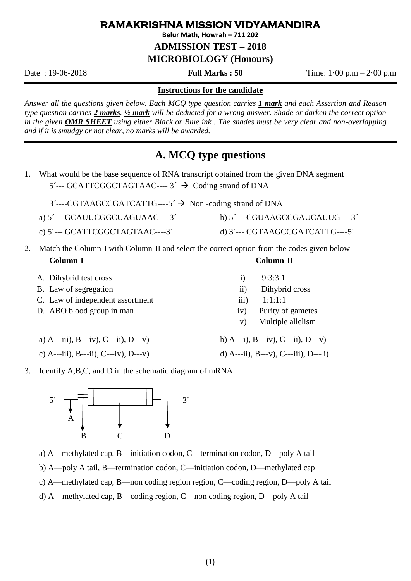## **RAMAKRISHNA MISSION VIDYAMANDIRA**

**Belur Math, Howrah – 711 202**

**ADMISSION TEST – 2018** 

**MICROBIOLOGY (Honours)**

Date : 19-06-2018 **Full Marks : 50** Time: 1·00 p.m – 2·00 p.m

## **Instructions for the candidate**

*Answer all the questions given below. Each MCQ type question carries 1 mark and each Assertion and Reason type question carries 2 marks. ½ mark will be deducted for a wrong answer. Shade or darken the correct option in the given OMR SHEET using either Black or Blue ink . The shades must be very clear and non-overlapping and if it is smudgy or not clear, no marks will be awarded.*

## **A. MCQ type questions**

- 1. What would be the base sequence of RNA transcript obtained from the given DNA segment 5´--- GCATTCGGCTAGTAAC---- 3´ → Coding strand of DNA
	- 3´----CGTAAGCCGATCATTG----5´ → Non -coding strand of DNA
	- a) 5´--- GCAUUCGGCUAGUAAC----3´ b) 5´--- CGUAAGCCGAUCAUUG----3´
	- c) 5´--- GCATTCGGCTAGTAAC----3´ d) 3´--- CGTAAGCCGATCATTG----5´
- 2. Match the Column-I with Column-II and select the correct option from the codes given below **Column-I Column-II**
	- A. Dihybrid test cross i) 9:3:3:1
	- B. Law of segregation iii) Dihybrid cross
	- C. Law of independent assortment iii) 1:1:1:1
	- D. ABO blood group in man iv) Purity of gametes
		-
	- c) A---iii), B---ii), C---iv), D---v) d) A---ii), B---v), C---iii), D--- i)
	- a)  $A$ —iii),  $B$ ---iv),  $C$ ---ii),  $D$ ---v) b)  $A$ ---i),  $B$ ---iv),  $C$ ---ii),  $D$ ---v)

v) Multiple allelism

3. Identify A,B,C, and D in the schematic diagram of mRNA



a) A—methylated cap, B—initiation codon, C—termination codon, D—poly A tail

- b) A—poly A tail, B—termination codon, C—initiation codon, D—methylated cap
- c) A—methylated cap, B—non coding region region, C—coding region, D—poly A tail
- d) A—methylated cap, B—coding region, C—non coding region, D—poly A tail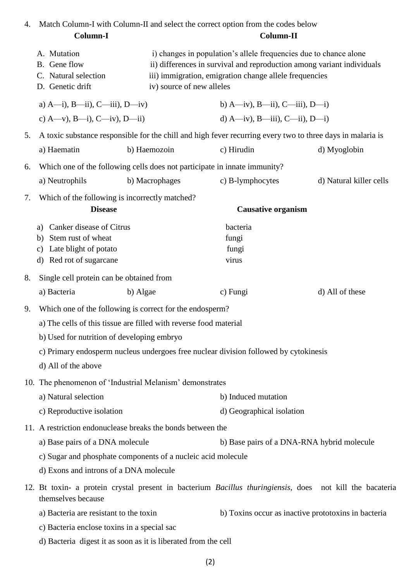| 4.                                             | Match Column-I with Column-II and select the correct option from the codes below<br>Column-I<br>Column-II                              |                                                                           |                                                                                                                                                                                                                                    |                         |  |
|------------------------------------------------|----------------------------------------------------------------------------------------------------------------------------------------|---------------------------------------------------------------------------|------------------------------------------------------------------------------------------------------------------------------------------------------------------------------------------------------------------------------------|-------------------------|--|
|                                                | A. Mutation<br>B. Gene flow<br>C. Natural selection<br>D. Genetic drift                                                                |                                                                           | i) changes in population's allele frequencies due to chance alone<br>ii) differences in survival and reproduction among variant individuals<br>iii) immigration, emigration change allele frequencies<br>iv) source of new alleles |                         |  |
|                                                | a) $A$ —i), $B$ —ii), $C$ —iii), $D$ —iv)                                                                                              |                                                                           | b) A—iv), B—ii), C—iii), D—i)                                                                                                                                                                                                      |                         |  |
|                                                | c) A—v), B—i), C—iv), D—ii)                                                                                                            |                                                                           | d) $A$ —iv), $B$ —iii), $C$ —ii), $D$ —i)                                                                                                                                                                                          |                         |  |
| 5.                                             | A toxic substance responsible for the chill and high fever recurring every two to three days in malaria is                             |                                                                           |                                                                                                                                                                                                                                    |                         |  |
|                                                | a) Haematin                                                                                                                            | b) Haemozoin                                                              | c) Hirudin                                                                                                                                                                                                                         | d) Myoglobin            |  |
| 6.                                             |                                                                                                                                        | Which one of the following cells does not participate in innate immunity? |                                                                                                                                                                                                                                    |                         |  |
|                                                | a) Neutrophils                                                                                                                         | b) Macrophages                                                            | c) B-lymphocytes                                                                                                                                                                                                                   | d) Natural killer cells |  |
| 7.                                             | Which of the following is incorrectly matched?<br><b>Disease</b>                                                                       |                                                                           | <b>Causative organism</b>                                                                                                                                                                                                          |                         |  |
|                                                | Canker disease of Citrus<br>a)<br>Stem rust of wheat<br>b)<br>Late blight of potato<br>c)<br>d) Red rot of sugarcane                   |                                                                           | bacteria<br>fungi<br>fungi<br>virus                                                                                                                                                                                                |                         |  |
| Single cell protein can be obtained from<br>8. |                                                                                                                                        |                                                                           |                                                                                                                                                                                                                                    |                         |  |
|                                                | a) Bacteria                                                                                                                            | b) Algae                                                                  | c) Fungi                                                                                                                                                                                                                           | d) All of these         |  |
| 9.                                             |                                                                                                                                        | Which one of the following is correct for the endosperm?                  |                                                                                                                                                                                                                                    |                         |  |
|                                                | a) The cells of this tissue are filled with reverse food material                                                                      |                                                                           |                                                                                                                                                                                                                                    |                         |  |
|                                                | b) Used for nutrition of developing embryo                                                                                             |                                                                           |                                                                                                                                                                                                                                    |                         |  |
|                                                | c) Primary endosperm nucleus undergoes free nuclear division followed by cytokinesis<br>d) All of the above                            |                                                                           |                                                                                                                                                                                                                                    |                         |  |
|                                                |                                                                                                                                        |                                                                           |                                                                                                                                                                                                                                    |                         |  |
|                                                | 10. The phenomenon of 'Industrial Melanism' demonstrates<br>a) Natural selection                                                       |                                                                           | b) Induced mutation                                                                                                                                                                                                                |                         |  |
|                                                | c) Reproductive isolation                                                                                                              |                                                                           | d) Geographical isolation                                                                                                                                                                                                          |                         |  |
|                                                | 11. A restriction endonuclease breaks the bonds between the                                                                            |                                                                           |                                                                                                                                                                                                                                    |                         |  |
|                                                | a) Base pairs of a DNA molecule                                                                                                        |                                                                           | b) Base pairs of a DNA-RNA hybrid molecule                                                                                                                                                                                         |                         |  |
|                                                | c) Sugar and phosphate components of a nucleic acid molecule                                                                           |                                                                           |                                                                                                                                                                                                                                    |                         |  |
|                                                | d) Exons and introns of a DNA molecule                                                                                                 |                                                                           |                                                                                                                                                                                                                                    |                         |  |
|                                                | 12. Bt toxin- a protein crystal present in bacterium <i>Bacillus thuringiensis</i> , does not kill the bacateria<br>themselves because |                                                                           |                                                                                                                                                                                                                                    |                         |  |
|                                                | a) Bacteria are resistant to the toxin                                                                                                 |                                                                           | b) Toxins occur as inactive prototoxins in bacteria                                                                                                                                                                                |                         |  |
|                                                | c) Bacteria enclose toxins in a special sac                                                                                            |                                                                           |                                                                                                                                                                                                                                    |                         |  |
|                                                | d) Bacteria digest it as soon as it is liberated from the cell                                                                         |                                                                           |                                                                                                                                                                                                                                    |                         |  |
|                                                |                                                                                                                                        |                                                                           |                                                                                                                                                                                                                                    |                         |  |

<sup>(2)</sup>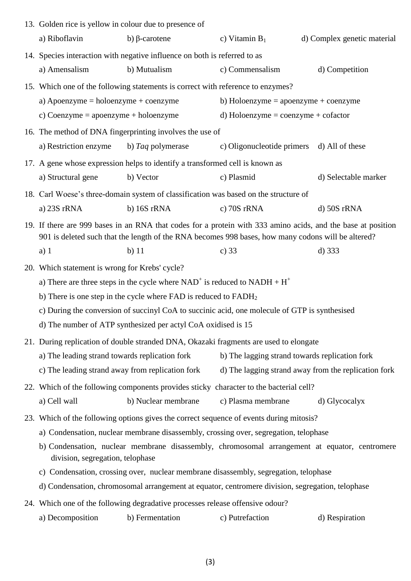|  | 13. Golden rice is yellow in colour due to presence of                                                                                                                                                                    |                                                                                         |                                                |                                                      |
|--|---------------------------------------------------------------------------------------------------------------------------------------------------------------------------------------------------------------------------|-----------------------------------------------------------------------------------------|------------------------------------------------|------------------------------------------------------|
|  | a) Riboflavin                                                                                                                                                                                                             | b) $\beta$ -carotene                                                                    | c) Vitamin $B_1$                               | d) Complex genetic material                          |
|  | 14. Species interaction with negative influence on both is referred to as                                                                                                                                                 |                                                                                         |                                                |                                                      |
|  | a) Amensalism                                                                                                                                                                                                             | b) Mutualism                                                                            | c) Commensalism                                | d) Competition                                       |
|  |                                                                                                                                                                                                                           | 15. Which one of the following statements is correct with reference to enzymes?         |                                                |                                                      |
|  | a) Apoenzyme = holoenzyme + $coenzyme$                                                                                                                                                                                    |                                                                                         | b) Holoenzyme = $apoenzyme + coenzyme$         |                                                      |
|  | c) Coenzyme = $apoenzyme + holoenzyme$                                                                                                                                                                                    |                                                                                         | d) Holoenzyme = $coenzyme + cofactor$          |                                                      |
|  |                                                                                                                                                                                                                           | 16. The method of DNA fingerprinting involves the use of                                |                                                |                                                      |
|  | a) Restriction enzyme                                                                                                                                                                                                     | b) Taq polymerase                                                                       | c) Oligonucleotide primers d) All of these     |                                                      |
|  |                                                                                                                                                                                                                           | 17. A gene whose expression helps to identify a transformed cell is known as            |                                                |                                                      |
|  | a) Structural gene                                                                                                                                                                                                        | b) Vector                                                                               | c) Plasmid                                     | d) Selectable marker                                 |
|  |                                                                                                                                                                                                                           | 18. Carl Woese's three-domain system of classification was based on the structure of    |                                                |                                                      |
|  | a) 23S rRNA                                                                                                                                                                                                               | b) 16S rRNA                                                                             | c) $70S$ rRNA                                  | $d)$ 50S rRNA                                        |
|  | 19. If there are 999 bases in an RNA that codes for a protein with 333 amino acids, and the base at position<br>901 is deleted such that the length of the RNA becomes 998 bases, how many codons will be altered?        |                                                                                         |                                                |                                                      |
|  | $a)$ 1                                                                                                                                                                                                                    | $b)$ 11                                                                                 | c) $33$                                        | $d)$ 333                                             |
|  | 20. Which statement is wrong for Krebs' cycle?                                                                                                                                                                            |                                                                                         |                                                |                                                      |
|  | a) There are three steps in the cycle where $NAD^+$ is reduced to $NADH + H^+$<br>b) There is one step in the cycle where $FAD$ is reduced to $FADH2$                                                                     |                                                                                         |                                                |                                                      |
|  |                                                                                                                                                                                                                           |                                                                                         |                                                |                                                      |
|  | c) During the conversion of succinyl CoA to succinic acid, one molecule of GTP is synthesised                                                                                                                             |                                                                                         |                                                |                                                      |
|  | d) The number of ATP synthesized per actyl CoA oxidised is 15                                                                                                                                                             |                                                                                         |                                                |                                                      |
|  |                                                                                                                                                                                                                           | 21. During replication of double stranded DNA, Okazaki fragments are used to elongate   |                                                |                                                      |
|  | a) The leading strand towards replication fork                                                                                                                                                                            |                                                                                         | b) The lagging strand towards replication fork |                                                      |
|  | c) The leading strand away from replication fork                                                                                                                                                                          |                                                                                         |                                                | d) The lagging strand away from the replication fork |
|  |                                                                                                                                                                                                                           | 22. Which of the following components provides sticky character to the bacterial cell?  |                                                |                                                      |
|  | a) Cell wall                                                                                                                                                                                                              | b) Nuclear membrane                                                                     | c) Plasma membrane                             | d) Glycocalyx                                        |
|  |                                                                                                                                                                                                                           | 23. Which of the following options gives the correct sequence of events during mitosis? |                                                |                                                      |
|  | a) Condensation, nuclear membrane disassembly, crossing over, segregation, telophase<br>b) Condensation, nuclear membrane disassembly, chromosomal arrangement at equator, centromere<br>division, segregation, telophase |                                                                                         |                                                |                                                      |
|  |                                                                                                                                                                                                                           |                                                                                         |                                                |                                                      |
|  | c) Condensation, crossing over, nuclear membrane disassembly, segregation, telophase                                                                                                                                      |                                                                                         |                                                |                                                      |
|  | d) Condensation, chromosomal arrangement at equator, centromere division, segregation, telophase                                                                                                                          |                                                                                         |                                                |                                                      |
|  |                                                                                                                                                                                                                           | 24. Which one of the following degradative processes release offensive odour?           |                                                |                                                      |
|  | a) Decomposition                                                                                                                                                                                                          | b) Fermentation                                                                         | c) Putrefaction                                | d) Respiration                                       |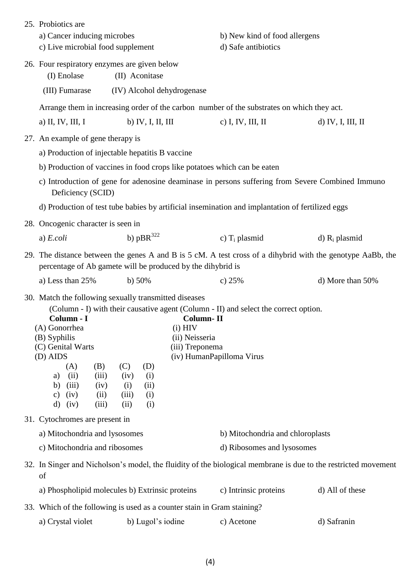|                                                                                                                       | 25. Probiotics are                                                                                                                                                                                    |                                                                                                                                                                                                                                                                                                |                                  |                   |  |
|-----------------------------------------------------------------------------------------------------------------------|-------------------------------------------------------------------------------------------------------------------------------------------------------------------------------------------------------|------------------------------------------------------------------------------------------------------------------------------------------------------------------------------------------------------------------------------------------------------------------------------------------------|----------------------------------|-------------------|--|
|                                                                                                                       | a) Cancer inducing microbes                                                                                                                                                                           |                                                                                                                                                                                                                                                                                                | b) New kind of food allergens    |                   |  |
|                                                                                                                       | c) Live microbial food supplement                                                                                                                                                                     |                                                                                                                                                                                                                                                                                                | d) Safe antibiotics              |                   |  |
|                                                                                                                       | 26. Four respiratory enzymes are given below<br>(I) Enolase                                                                                                                                           | (II) Aconitase                                                                                                                                                                                                                                                                                 |                                  |                   |  |
|                                                                                                                       | (III) Fumarase                                                                                                                                                                                        | (IV) Alcohol dehydrogenase                                                                                                                                                                                                                                                                     |                                  |                   |  |
|                                                                                                                       |                                                                                                                                                                                                       | Arrange them in increasing order of the carbon number of the substrates on which they act.                                                                                                                                                                                                     |                                  |                   |  |
|                                                                                                                       | a) II, IV, III, I                                                                                                                                                                                     | b) IV, I, II, III                                                                                                                                                                                                                                                                              | c) I, IV, III, II                | d) IV, I, III, II |  |
|                                                                                                                       | 27. An example of gene therapy is                                                                                                                                                                     |                                                                                                                                                                                                                                                                                                |                                  |                   |  |
|                                                                                                                       |                                                                                                                                                                                                       | a) Production of injectable hepatitis B vaccine                                                                                                                                                                                                                                                |                                  |                   |  |
|                                                                                                                       |                                                                                                                                                                                                       | b) Production of vaccines in food crops like potatoes which can be eaten                                                                                                                                                                                                                       |                                  |                   |  |
| c) Introduction of gene for adenosine deaminase in persons suffering from Severe Combined Immuno<br>Deficiency (SCID) |                                                                                                                                                                                                       |                                                                                                                                                                                                                                                                                                |                                  |                   |  |
|                                                                                                                       |                                                                                                                                                                                                       | d) Production of test tube babies by artificial insemination and implantation of fertilized eggs                                                                                                                                                                                               |                                  |                   |  |
|                                                                                                                       | 28. Oncogenic character is seen in                                                                                                                                                                    |                                                                                                                                                                                                                                                                                                |                                  |                   |  |
|                                                                                                                       | a) $E.$ <i>coli</i>                                                                                                                                                                                   | b) $pBR^{322}$                                                                                                                                                                                                                                                                                 | c) $T_i$ plasmid                 | d) $R_i$ plasmid  |  |
|                                                                                                                       | 29. The distance between the genes A and B is 5 cM. A test cross of a dihybrid with the genotype AaBb, the<br>percentage of Ab gamete will be produced by the dihybrid is                             |                                                                                                                                                                                                                                                                                                |                                  |                   |  |
|                                                                                                                       | a) Less than 25%                                                                                                                                                                                      | b) $50%$                                                                                                                                                                                                                                                                                       | c) $25%$                         | d) More than 50%  |  |
|                                                                                                                       | Column - I<br>(A) Gonorrhea<br>(B) Syphilis<br>(C) Genital Warts<br>(D) AIDS<br>(A)<br>(B)<br>(ii)<br>(iii)<br>a)<br>(iii)<br>(iv)<br>b)<br>(iv)<br>(ii)<br>$\mathbf{c})$<br>$\rm d$<br>(iv)<br>(iii) | 30. Match the following sexually transmitted diseases<br>(Column - I) with their causative agent (Column - II) and select the correct option.<br><b>Column-II</b><br>$(i)$ HIV<br>(ii) Neisseria<br>(iii) Treponema<br>(C)<br>(D)<br>(iv)<br>(i)<br>(ii)<br>(i)<br>(iii)<br>(i)<br>(ii)<br>(i) | (iv) HumanPapilloma Virus        |                   |  |
|                                                                                                                       | 31. Cytochromes are present in                                                                                                                                                                        |                                                                                                                                                                                                                                                                                                |                                  |                   |  |
|                                                                                                                       | a) Mitochondria and lysosomes                                                                                                                                                                         |                                                                                                                                                                                                                                                                                                | b) Mitochondria and chloroplasts |                   |  |
|                                                                                                                       | c) Mitochondria and ribosomes                                                                                                                                                                         |                                                                                                                                                                                                                                                                                                | d) Ribosomes and lysosomes       |                   |  |
|                                                                                                                       | 32. In Singer and Nicholson's model, the fluidity of the biological membrane is due to the restricted movement<br>of                                                                                  |                                                                                                                                                                                                                                                                                                |                                  |                   |  |
|                                                                                                                       |                                                                                                                                                                                                       |                                                                                                                                                                                                                                                                                                |                                  |                   |  |
|                                                                                                                       |                                                                                                                                                                                                       | a) Phospholipid molecules b) Extrinsic proteins                                                                                                                                                                                                                                                | c) Intrinsic proteins            | d) All of these   |  |
|                                                                                                                       |                                                                                                                                                                                                       | 33. Which of the following is used as a counter stain in Gram staining?                                                                                                                                                                                                                        |                                  |                   |  |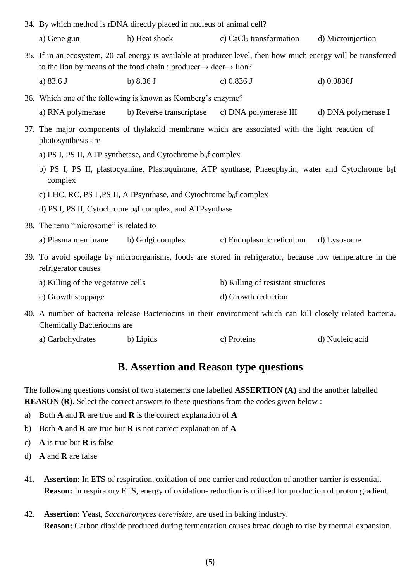|                                                                                                                      | 34. By which method is rDNA directly placed in nucleus of animal cell?                                                                                                                                     |                          |                                                                                                             |                     |
|----------------------------------------------------------------------------------------------------------------------|------------------------------------------------------------------------------------------------------------------------------------------------------------------------------------------------------------|--------------------------|-------------------------------------------------------------------------------------------------------------|---------------------|
|                                                                                                                      | a) Gene gun                                                                                                                                                                                                | b) Heat shock            | c) $CaCl2$ transformation                                                                                   | d) Microinjection   |
|                                                                                                                      | 35. If in an ecosystem, 20 cal energy is available at producer level, then how much energy will be transferred<br>to the lion by means of the food chain : producer $\rightarrow$ deer $\rightarrow$ lion? |                          |                                                                                                             |                     |
|                                                                                                                      | a) 83.6 J                                                                                                                                                                                                  | b) $8.36 J$              | c) $0.836$ J                                                                                                | $d)$ 0.0836J        |
|                                                                                                                      | 36. Which one of the following is known as Kornberg's enzyme?                                                                                                                                              |                          |                                                                                                             |                     |
|                                                                                                                      | a) RNA polymerase                                                                                                                                                                                          | b) Reverse transcriptase | c) DNA polymerase III                                                                                       | d) DNA polymerase I |
| 37. The major components of thylakoid membrane which are associated with the light reaction of<br>photosynthesis are |                                                                                                                                                                                                            |                          |                                                                                                             |                     |
| a) PS I, PS II, ATP synthetase, and Cytochrome $b_6f$ complex                                                        |                                                                                                                                                                                                            |                          |                                                                                                             |                     |
|                                                                                                                      | b) PS I, PS II, plastocyanine, Plastoquinone, ATP synthase, Phaeophytin, water and Cytochrome $b_6f$<br>complex                                                                                            |                          |                                                                                                             |                     |
|                                                                                                                      | c) LHC, RC, PS I, PS II, ATPsynthase, and Cytochrome $b_6f$ complex                                                                                                                                        |                          |                                                                                                             |                     |
|                                                                                                                      | d) PS I, PS II, Cytochrome $b_6f$ complex, and ATPsynthase                                                                                                                                                 |                          |                                                                                                             |                     |
|                                                                                                                      | 38. The term "microsome" is related to                                                                                                                                                                     |                          |                                                                                                             |                     |
|                                                                                                                      | a) Plasma membrane                                                                                                                                                                                         | b) Golgi complex         | c) Endoplasmic reticulum                                                                                    | d) Lysosome         |
|                                                                                                                      | 39. To avoid spoilage by microorganisms, foods are stored in refrigerator, because low temperature in the<br>refrigerator causes                                                                           |                          |                                                                                                             |                     |
|                                                                                                                      | a) Killing of the vegetative cells                                                                                                                                                                         |                          | b) Killing of resistant structures                                                                          |                     |
|                                                                                                                      | c) Growth stoppage                                                                                                                                                                                         |                          | d) Growth reduction                                                                                         |                     |
|                                                                                                                      |                                                                                                                                                                                                            |                          | 40. A number of bacteria release Bacteriocins in their environment which can kill closely related bacteria. |                     |

Chemically Bacteriocins are

| a) Carbohydrates | b) Lipids | c) Proteins | d) Nucleic acid |
|------------------|-----------|-------------|-----------------|
|------------------|-----------|-------------|-----------------|

## **B. Assertion and Reason type questions**

The following questions consist of two statements one labelled **ASSERTION (A)** and the another labelled **REASON (R)**. Select the correct answers to these questions from the codes given below :

- a) Both **A** and **R** are true and **R** is the correct explanation of **A**
- b) Both **A** and **R** are true but **R** is not correct explanation of **A**
- c) **A** is true but **R** is false
- d) **A** and **R** are false
- 41. **Assertion**: In ETS of respiration, oxidation of one carrier and reduction of another carrier is essential. **Reason:** In respiratory ETS, energy of oxidation- reduction is utilised for production of proton gradient.
- 42. **Assertion**: Yeast, *Saccharomyces cerevisiae,* are used in baking industry. **Reason:** Carbon dioxide produced during fermentation causes bread dough to rise by thermal expansion.